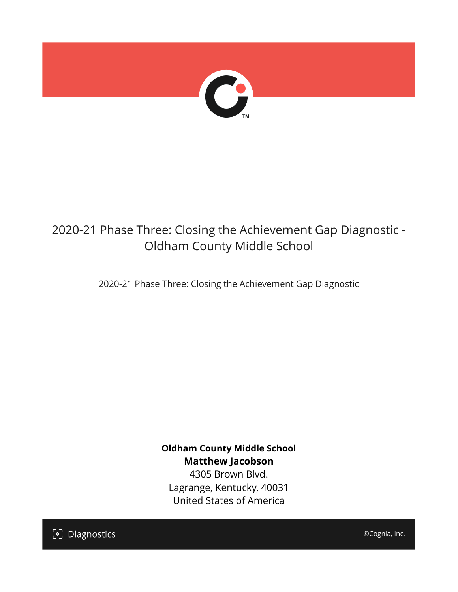

## 2020-21 Phase Three: Closing the Achievement Gap Diagnostic - Oldham County Middle School

2020-21 Phase Three: Closing the Achievement Gap Diagnostic

**Oldham County Middle School Matthew Jacobson**

4305 Brown Blvd. Lagrange, Kentucky, 40031 United States of America

[၁] Diagnostics

©Cognia, Inc.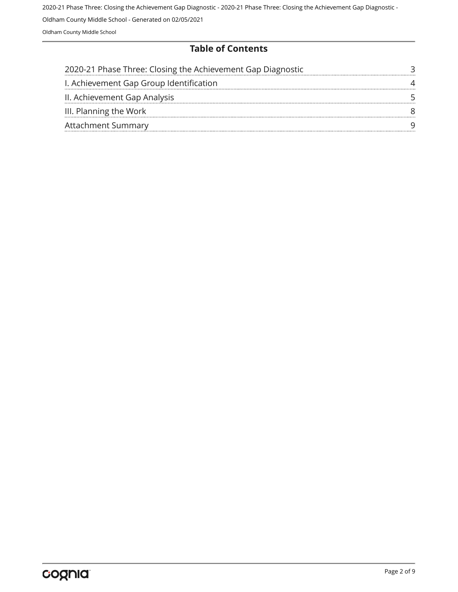Oldham County Middle School - Generated on 02/05/2021

Oldham County Middle School

#### **Table of Contents**

| 2020-21 Phase Three: Closing the Achievement Gap Diagnostic |  |
|-------------------------------------------------------------|--|
| I. Achievement Gap Group Identification                     |  |
| II. Achievement Gap Analysis                                |  |
| III. Planning the Work                                      |  |
| <b>Attachment Summary</b>                                   |  |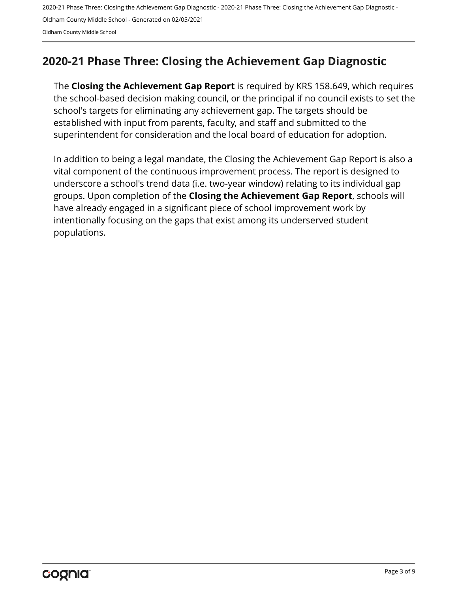## <span id="page-2-0"></span>**2020-21 Phase Three: Closing the Achievement Gap Diagnostic**

The **Closing the Achievement Gap Report** is required by KRS 158.649, which requires the school-based decision making council, or the principal if no council exists to set the school's targets for eliminating any achievement gap. The targets should be established with input from parents, faculty, and staff and submitted to the superintendent for consideration and the local board of education for adoption.

In addition to being a legal mandate, the Closing the Achievement Gap Report is also a vital component of the continuous improvement process. The report is designed to underscore a school's trend data (i.e. two-year window) relating to its individual gap groups. Upon completion of the **Closing the Achievement Gap Report**, schools will have already engaged in a significant piece of school improvement work by intentionally focusing on the gaps that exist among its underserved student populations.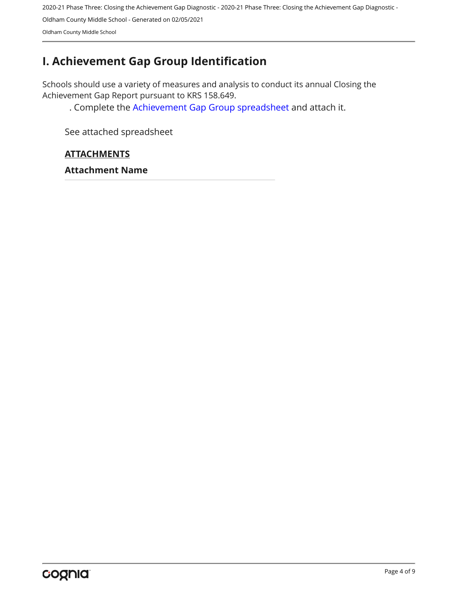## <span id="page-3-0"></span>**I. Achievement Gap Group Identification**

Schools should use a variety of measures and analysis to conduct its annual Closing the Achievement Gap Report pursuant to KRS 158.649.

. Complete the [Achievement Gap Group spreadsheet a](https://drive.google.com/file/d/0B7A6n8V1dmUOWFNKY2dSTTFibjA/view?usp=sharing)nd attach it.

See attached spreadsheet

#### **ATTACHMENTS**

**Attachment Name**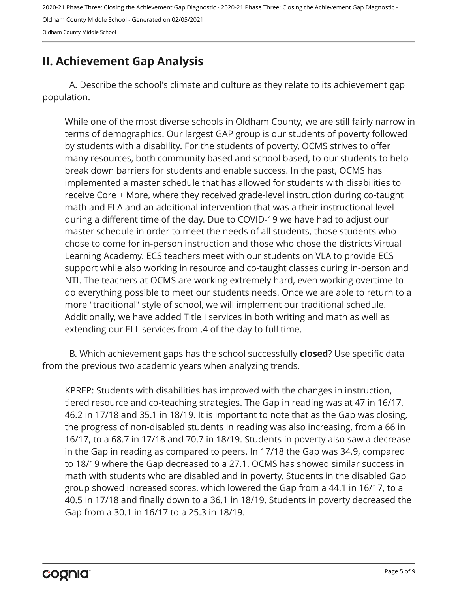### <span id="page-4-0"></span>**II. Achievement Gap Analysis**

A. Describe the school's climate and culture as they relate to its achievement gap population.

While one of the most diverse schools in Oldham County, we are still fairly narrow in terms of demographics. Our largest GAP group is our students of poverty followed by students with a disability. For the students of poverty, OCMS strives to offer many resources, both community based and school based, to our students to help break down barriers for students and enable success. In the past, OCMS has implemented a master schedule that has allowed for students with disabilities to receive Core + More, where they received grade-level instruction during co-taught math and ELA and an additional intervention that was a their instructional level during a different time of the day. Due to COVID-19 we have had to adjust our master schedule in order to meet the needs of all students, those students who chose to come for in-person instruction and those who chose the districts Virtual Learning Academy. ECS teachers meet with our students on VLA to provide ECS support while also working in resource and co-taught classes during in-person and NTI. The teachers at OCMS are working extremely hard, even working overtime to do everything possible to meet our students needs. Once we are able to return to a more "traditional" style of school, we will implement our traditional schedule. Additionally, we have added Title I services in both writing and math as well as extending our ELL services from .4 of the day to full time.

B. Which achievement gaps has the school successfully **closed**? Use specific data from the previous two academic years when analyzing trends.

KPREP: Students with disabilities has improved with the changes in instruction, tiered resource and co-teaching strategies. The Gap in reading was at 47 in 16/17, 46.2 in 17/18 and 35.1 in 18/19. It is important to note that as the Gap was closing, the progress of non-disabled students in reading was also increasing. from a 66 in 16/17, to a 68.7 in 17/18 and 70.7 in 18/19. Students in poverty also saw a decrease in the Gap in reading as compared to peers. In 17/18 the Gap was 34.9, compared to 18/19 where the Gap decreased to a 27.1. OCMS has showed similar success in math with students who are disabled and in poverty. Students in the disabled Gap group showed increased scores, which lowered the Gap from a 44.1 in 16/17, to a 40.5 in 17/18 and finally down to a 36.1 in 18/19. Students in poverty decreased the Gap from a 30.1 in 16/17 to a 25.3 in 18/19.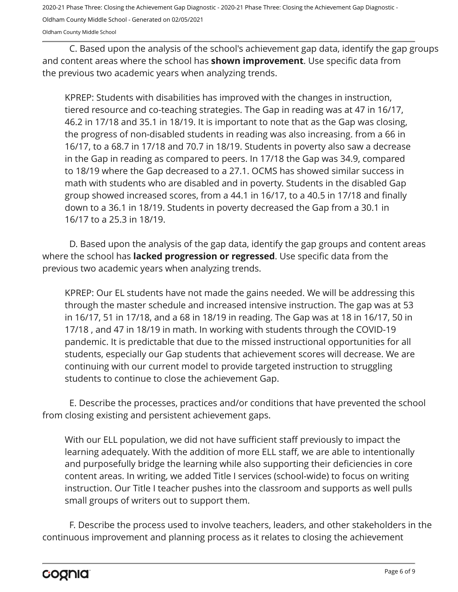Oldham County Middle School - Generated on 02/05/2021

Oldham County Middle School

C. Based upon the analysis of the school's achievement gap data, identify the gap groups and content areas where the school has **shown improvement**. Use specific data from the previous two academic years when analyzing trends.

KPREP: Students with disabilities has improved with the changes in instruction, tiered resource and co-teaching strategies. The Gap in reading was at 47 in 16/17, 46.2 in 17/18 and 35.1 in 18/19. It is important to note that as the Gap was closing, the progress of non-disabled students in reading was also increasing. from a 66 in 16/17, to a 68.7 in 17/18 and 70.7 in 18/19. Students in poverty also saw a decrease in the Gap in reading as compared to peers. In 17/18 the Gap was 34.9, compared to 18/19 where the Gap decreased to a 27.1. OCMS has showed similar success in math with students who are disabled and in poverty. Students in the disabled Gap group showed increased scores, from a 44.1 in 16/17, to a 40.5 in 17/18 and finally down to a 36.1 in 18/19. Students in poverty decreased the Gap from a 30.1 in 16/17 to a 25.3 in 18/19.

D. Based upon the analysis of the gap data, identify the gap groups and content areas where the school has **lacked progression or regressed**. Use specific data from the previous two academic years when analyzing trends.

KPREP: Our EL students have not made the gains needed. We will be addressing this through the master schedule and increased intensive instruction. The gap was at 53 in 16/17, 51 in 17/18, and a 68 in 18/19 in reading. The Gap was at 18 in 16/17, 50 in 17/18 , and 47 in 18/19 in math. In working with students through the COVID-19 pandemic. It is predictable that due to the missed instructional opportunities for all students, especially our Gap students that achievement scores will decrease. We are continuing with our current model to provide targeted instruction to struggling students to continue to close the achievement Gap.

E. Describe the processes, practices and/or conditions that have prevented the school from closing existing and persistent achievement gaps.

With our ELL population, we did not have sufficient staff previously to impact the learning adequately. With the addition of more ELL staff, we are able to intentionally and purposefully bridge the learning while also supporting their deficiencies in core content areas. In writing, we added Title I services (school-wide) to focus on writing instruction. Our Title I teacher pushes into the classroom and supports as well pulls small groups of writers out to support them.

F. Describe the process used to involve teachers, leaders, and other stakeholders in the continuous improvement and planning process as it relates to closing the achievement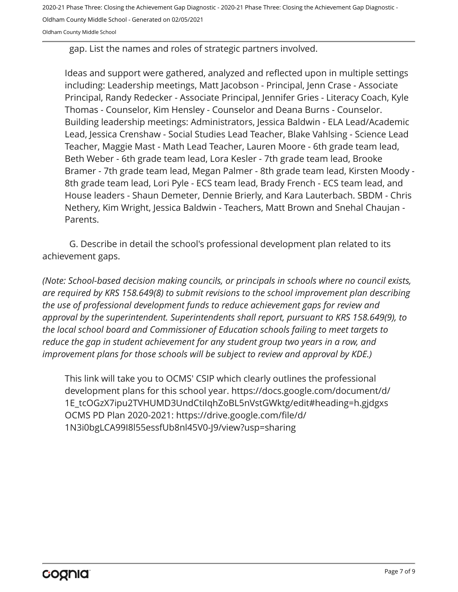Oldham County Middle School - Generated on 02/05/2021

Oldham County Middle School

gap. List the names and roles of strategic partners involved.

Ideas and support were gathered, analyzed and reflected upon in multiple settings including: Leadership meetings, Matt Jacobson - Principal, Jenn Crase - Associate Principal, Randy Redecker - Associate Principal, Jennifer Gries - Literacy Coach, Kyle Thomas - Counselor, Kim Hensley - Counselor and Deana Burns - Counselor. Building leadership meetings: Administrators, Jessica Baldwin - ELA Lead/Academic Lead, Jessica Crenshaw - Social Studies Lead Teacher, Blake Vahlsing - Science Lead Teacher, Maggie Mast - Math Lead Teacher, Lauren Moore - 6th grade team lead, Beth Weber - 6th grade team lead, Lora Kesler - 7th grade team lead, Brooke Bramer - 7th grade team lead, Megan Palmer - 8th grade team lead, Kirsten Moody - 8th grade team lead, Lori Pyle - ECS team lead, Brady French - ECS team lead, and House leaders - Shaun Demeter, Dennie Brierly, and Kara Lauterbach. SBDM - Chris Nethery, Kim Wright, Jessica Baldwin - Teachers, Matt Brown and Snehal Chaujan - Parents.

G. Describe in detail the school's professional development plan related to its achievement gaps.

*(Note: School-based decision making councils, or principals in schools where no council exists, are required by KRS 158.649(8) to submit revisions to the school improvement plan describing the use of professional development funds to reduce achievement gaps for review and approval by the superintendent. Superintendents shall report, pursuant to KRS 158.649(9), to the local school board and Commissioner of Education schools failing to meet targets to reduce the gap in student achievement for any student group two years in a row, and improvement plans for those schools will be subject to review and approval by KDE.)* 

This link will take you to OCMS' CSIP which clearly outlines the professional development plans for this school year. https://docs.google.com/document/d/ 1E\_tcOGzX7ipu2TVHUMD3UndCtiIqhZoBL5nVstGWktg/edit#heading=h.gjdgxs OCMS PD Plan 2020-2021: https://drive.google.com/file/d/ 1N3i0bgLCA99I8l55essfUb8nl45V0-J9/view?usp=sharing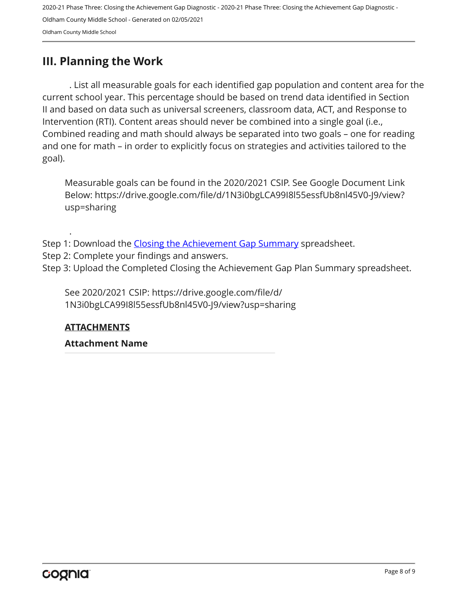## <span id="page-7-0"></span>**III. Planning the Work**

. List all measurable goals for each identified gap population and content area for the current school year. This percentage should be based on trend data identified in Section II and based on data such as universal screeners, classroom data, ACT, and Response to Intervention (RTI). Content areas should never be combined into a single goal (i.e., Combined reading and math should always be separated into two goals – one for reading and one for math – in order to explicitly focus on strategies and activities tailored to the goal).

Measurable goals can be found in the 2020/2021 CSIP. See Google Document Link Below: https://drive.google.com/file/d/1N3i0bgLCA99I8l55essfUb8nl45V0-J9/view? usp=sharing

- Step 1: Download the [Closing the Achievement Gap Summary](https://drive.google.com/file/d/0B6i22i6omk4ySmUtTHZuSVRFazQ/view) spreadsheet.
- Step 2: Complete your findings and answers.
- Step 3: Upload the Completed Closing the Achievement Gap Plan Summary spreadsheet.

See 2020/2021 CSIP: https://drive.google.com/file/d/ 1N3i0bgLCA99I8l55essfUb8nl45V0-J9/view?usp=sharing

#### **ATTACHMENTS**

.

#### **Attachment Name**